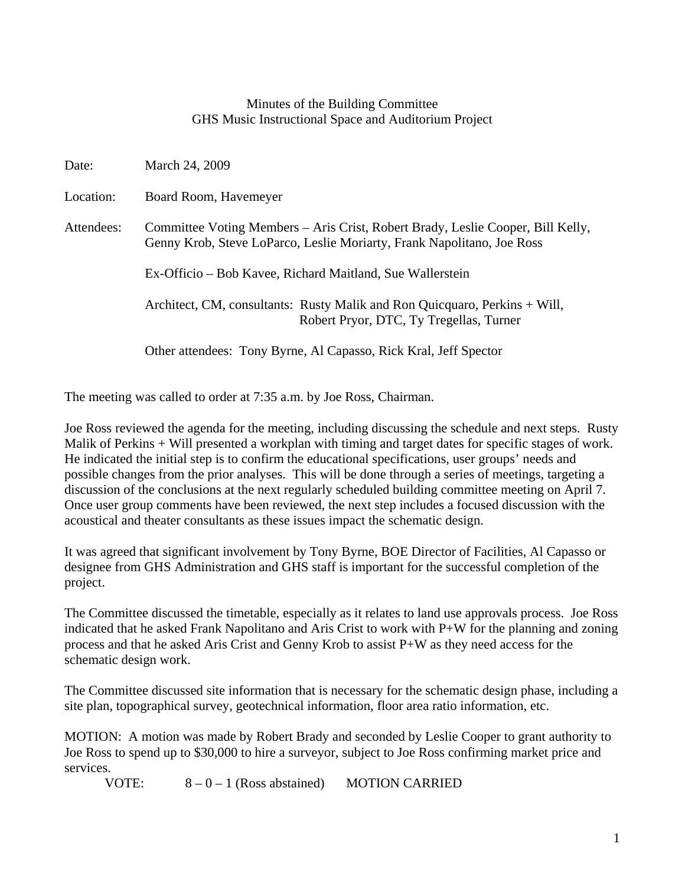## Minutes of the Building Committee GHS Music Instructional Space and Auditorium Project

| Date:      | March 24, 2009                                                                                                                                            |
|------------|-----------------------------------------------------------------------------------------------------------------------------------------------------------|
| Location:  | Board Room, Havemeyer                                                                                                                                     |
| Attendees: | Committee Voting Members – Aris Crist, Robert Brady, Leslie Cooper, Bill Kelly,<br>Genny Krob, Steve LoParco, Leslie Moriarty, Frank Napolitano, Joe Ross |
|            | Ex-Officio – Bob Kavee, Richard Maitland, Sue Wallerstein                                                                                                 |
|            | Architect, CM, consultants: Rusty Malik and Ron Quicquaro, Perkins + Will,<br>Robert Pryor, DTC, Ty Tregellas, Turner                                     |
|            | Other attendees: Tony Byrne, Al Capasso, Rick Kral, Jeff Spector                                                                                          |

The meeting was called to order at 7:35 a.m. by Joe Ross, Chairman.

Joe Ross reviewed the agenda for the meeting, including discussing the schedule and next steps. Rusty Malik of Perkins + Will presented a workplan with timing and target dates for specific stages of work. He indicated the initial step is to confirm the educational specifications, user groups' needs and possible changes from the prior analyses. This will be done through a series of meetings, targeting a discussion of the conclusions at the next regularly scheduled building committee meeting on April 7. Once user group comments have been reviewed, the next step includes a focused discussion with the acoustical and theater consultants as these issues impact the schematic design.

It was agreed that significant involvement by Tony Byrne, BOE Director of Facilities, Al Capasso or designee from GHS Administration and GHS staff is important for the successful completion of the project.

The Committee discussed the timetable, especially as it relates to land use approvals process. Joe Ross indicated that he asked Frank Napolitano and Aris Crist to work with P+W for the planning and zoning process and that he asked Aris Crist and Genny Krob to assist P+W as they need access for the schematic design work.

The Committee discussed site information that is necessary for the schematic design phase, including a site plan, topographical survey, geotechnical information, floor area ratio information, etc.

MOTION: A motion was made by Robert Brady and seconded by Leslie Cooper to grant authority to Joe Ross to spend up to \$30,000 to hire a surveyor, subject to Joe Ross confirming market price and services.

VOTE:  $8-0-1$  (Ross abstained) MOTION CARRIED